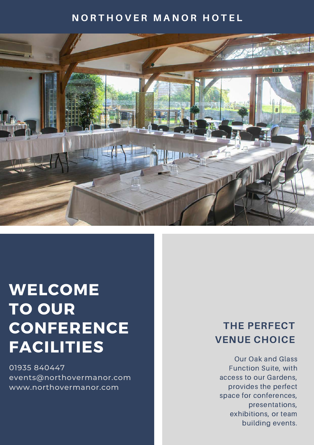# **NORTHOVER MANOR HOTEL**



# WELCOME **TO OUR** CONFERENCE FACILITIES

01935 840447 events@northovermanor.com www.northovermanor.com

# THE PERFECT VENUE CHOICE

Our Oak and Glass Function Suite, with access to our Gardens, provides the perfect space for conferences, presentations, exhibitions, or team building events.